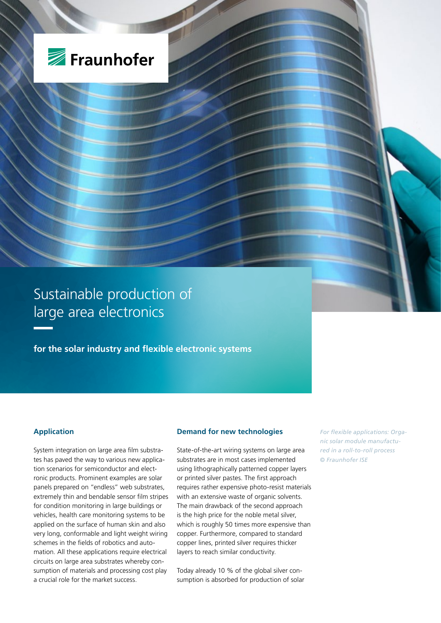

Sustainable production of large area electronics

**for the solar industry and flexible electronic systems**

# **Application**

System integration on large area film substrates has paved the way to various new application scenarios for semiconductor and electronic products. Prominent examples are solar panels prepared on "endless" web substrates, extremely thin and bendable sensor film stripes for condition monitoring in large buildings or vehicles, health care monitoring systems to be applied on the surface of human skin and also very long, conformable and light weight wiring schemes in the fields of robotics and automation. All these applications require electrical circuits on large area substrates whereby consumption of materials and processing cost play a crucial role for the market success.

#### **Demand for new technologies**

State-of-the-art wiring systems on large area substrates are in most cases implemented using lithographically patterned copper layers or printed silver pastes. The first approach requires rather expensive photo-resist materials with an extensive waste of organic solvents. The main drawback of the second approach is the high price for the noble metal silver. which is roughly 50 times more expensive than copper. Furthermore, compared to standard copper lines, printed silver requires thicker layers to reach similar conductivity.

Today already 10 % of the global silver consumption is absorbed for production of solar *For flexible applications: Organic solar module manufactured in a roll-to-roll process © Fraunhofer ISE*